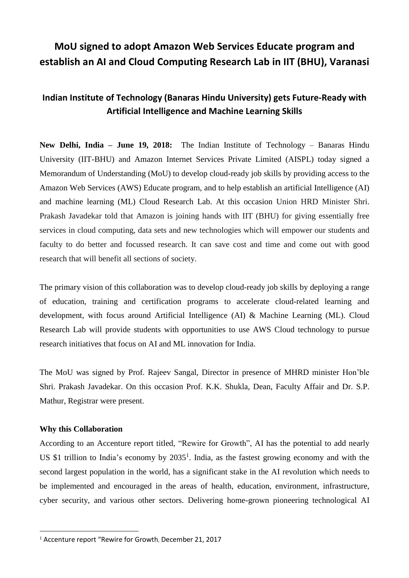# **MoU signed to adopt Amazon Web Services Educate program and establish an AI and Cloud Computing Research Lab in IIT (BHU), Varanasi**

# **Indian Institute of Technology (Banaras Hindu University) gets Future-Ready with Artificial Intelligence and Machine Learning Skills**

**New Delhi, India – June 19, 2018:** The Indian Institute of Technology – Banaras Hindu University (IIT-BHU) and Amazon Internet Services Private Limited (AISPL) today signed a Memorandum of Understanding (MoU) to develop cloud-ready job skills by providing access to the Amazon Web Services (AWS) Educate program, and to help establish an artificial Intelligence (AI) and machine learning (ML) Cloud Research Lab. At this occasion Union HRD Minister Shri. Prakash Javadekar told that Amazon is joining hands with IIT (BHU) for giving essentially free services in cloud computing, data sets and new technologies which will empower our students and faculty to do better and focussed research. It can save cost and time and come out with good research that will benefit all sections of society.

The primary vision of this collaboration was to develop cloud-ready job skills by deploying a range of education, training and certification programs to accelerate cloud-related learning and development, with focus around Artificial Intelligence (AI) & Machine Learning (ML). Cloud Research Lab will provide students with opportunities to use AWS Cloud technology to pursue research initiatives that focus on AI and ML innovation for India.

The MoU was signed by Prof. Rajeev Sangal, Director in presence of MHRD minister Hon'ble Shri. Prakash Javadekar. On this occasion Prof. K.K. Shukla, Dean, Faculty Affair and Dr. S.P. Mathur, Registrar were present.

## **Why this Collaboration**

 $\overline{a}$ 

According to an Accenture report titled, "Rewire for Growth", AI has the potential to add nearly US \$1 trillion to India's economy by  $2035<sup>1</sup>$ . India, as the fastest growing economy and with the second largest population in the world, has a significant stake in the AI revolution which needs to be implemented and encouraged in the areas of health, education, environment, infrastructure, cyber security, and various other sectors. Delivering home-grown pioneering technological AI

<sup>&</sup>lt;sup>1</sup> Accenture report "Rewire for Growth, December 21, 2017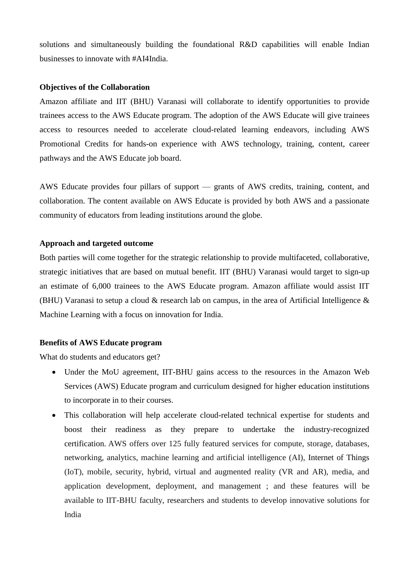solutions and simultaneously building the foundational R&D capabilities will enable Indian businesses to innovate with #AI4India.

#### **Objectives of the Collaboration**

Amazon affiliate and IIT (BHU) Varanasi will collaborate to identify opportunities to provide trainees access to the AWS Educate program. The adoption of the AWS Educate will give trainees access to resources needed to accelerate cloud-related learning endeavors, including AWS Promotional Credits for hands-on experience with AWS technology, training, content, career pathways and the AWS Educate job board.

AWS Educate provides four pillars of support — grants of AWS credits, training, content, and collaboration. The content available on AWS Educate is provided by both AWS and a passionate community of educators from leading institutions around the globe.

## **Approach and targeted outcome**

Both parties will come together for the strategic relationship to provide multifaceted, collaborative, strategic initiatives that are based on mutual benefit. IIT (BHU) Varanasi would target to sign-up an estimate of 6,000 trainees to the AWS Educate program. Amazon affiliate would assist IIT (BHU) Varanasi to setup a cloud  $\&$  research lab on campus, in the area of Artificial Intelligence  $\&$ Machine Learning with a focus on innovation for India.

#### **Benefits of AWS Educate program**

What do students and educators get?

- Under the MoU agreement, IIT-BHU gains access to the resources in the Amazon Web Services (AWS) Educate program and curriculum designed for higher education institutions to incorporate in to their courses.
- This collaboration will help accelerate cloud-related technical expertise for students and boost their readiness as they prepare to undertake the industry-recognized certification. AWS offers over 125 fully featured services for compute, storage, databases, networking, analytics, machine learning and artificial intelligence (AI), Internet of Things (IoT), mobile, security, hybrid, virtual and augmented reality (VR and AR), media, and application development, deployment, and management ; and these features will be available to IIT-BHU faculty, researchers and students to develop innovative solutions for India